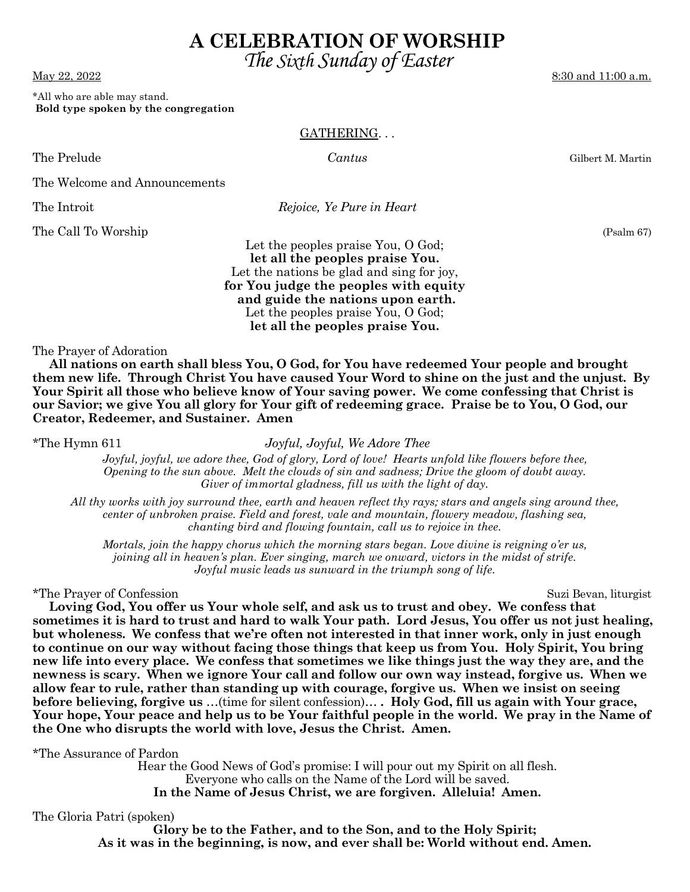**In the Name of Jesus Christ, we are forgiven. Alleluia! Amen.**  The Gloria Patri (spoken)

 Hear the Good News of God's promise: I will pour out my Spirit on all flesh. Everyone who calls on the Name of the Lord will be saved.

**the One who disrupts the world with love, Jesus the Christ. Amen.** 

**Glory be to the Father, and to the Son, and to the Holy Spirit; As it was in the beginning, is now, and ever shall be: World without end. Amen.** 

# **A CELEBRATION OF WORSHIP**

\*All who are able may stand.  **Bold type spoken by the congregation** 

### GATHERING. . .

The Prelude *Cantus* Gilbert M. Martin

The Welcome and Announcements

The Introit *Rejoice, Ye Pure in Heart* 

The Call To Worship (Psalm 67)

Let the peoples praise You, O God; **let all the peoples praise You.** Let the nations be glad and sing for joy, **for You judge the peoples with equity and guide the nations upon earth.**  Let the peoples praise You, O God; **let all the peoples praise You.**

The Prayer of Adoration

 **All nations on earth shall bless You, O God, for You have redeemed Your people and brought them new life. Through Christ You have caused Your Word to shine on the just and the unjust. By Your Spirit all those who believe know of Your saving power. We come confessing that Christ is our Savior; we give You all glory for Your gift of redeeming grace. Praise be to You, O God, our Creator, Redeemer, and Sustainer. Amen**

\*The Hymn 611 *Joyful, Joyful, We Adore Thee* 

*Joyful, joyful, we adore thee, God of glory, Lord of love! Hearts unfold like flowers before thee, Opening to the sun above. Melt the clouds of sin and sadness; Drive the gloom of doubt away. Giver of immortal gladness, fill us with the light of day.* 

*All thy works with joy surround thee, earth and heaven reflect thy rays; stars and angels sing around thee, center of unbroken praise. Field and forest, vale and mountain, flowery meadow, flashing sea, chanting bird and flowing fountain, call us to rejoice in thee.* 

*Mortals, join the happy chorus which the morning stars began. Love divine is reigning o'er us, joining all in heaven's plan. Ever singing, march we onward, victors in the midst of strife. Joyful music leads us sunward in the triumph song of life.* 

**sometimes it is hard to trust and hard to walk Your path. Lord Jesus, You offer us not just healing, but wholeness. We confess that we're often not interested in that inner work, only in just enough to continue on our way without facing those things that keep us from You. Holy Spirit, You bring new life into every place. We confess that sometimes we like things just the way they are, and the newness is scary. When we ignore Your call and follow our own way instead, forgive us. When we allow fear to rule, rather than standing up with courage, forgive us. When we insist on seeing before believing, forgive us** …(time for silent confession)… **. Holy God, fill us again with Your grace, Your hope, Your peace and help us to be Your faithful people in the world. We pray in the Name of** 

\*The Prayer of Confession Suzi Bevan, liturgist **Loving God, You offer us Your whole self, and ask us to trust and obey. We confess that** 

\*The Assurance of Pardon

 *The Sixth Sunday of Easter* 

8:30 and 11:00 a.m.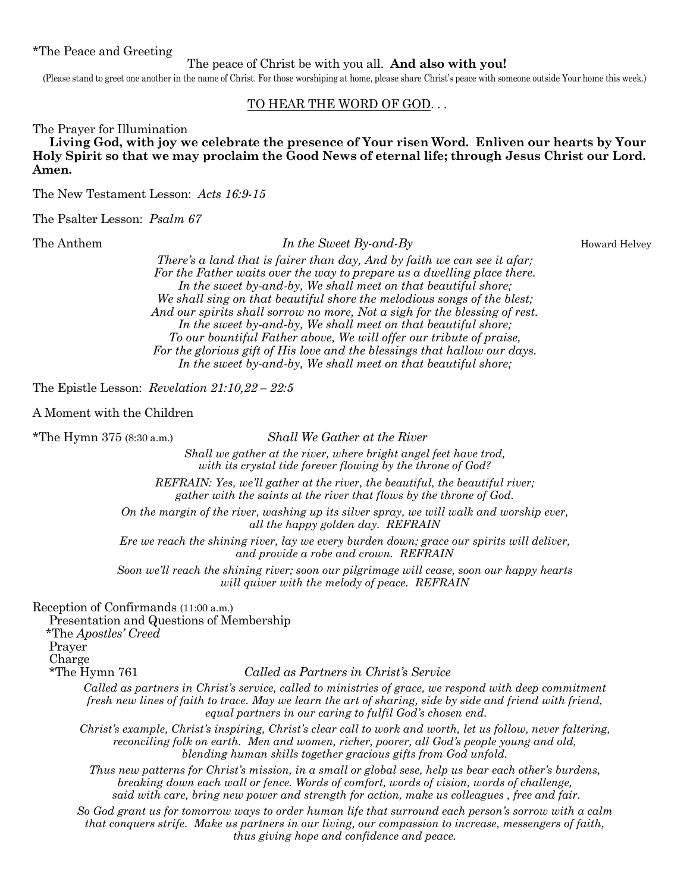#### \*The Peace and Greeting

#### The peace of Christ be with you all. **And also with you!**

(Please stand to greet one another in the name of Christ. For those worshiping at home, please share Christ's peace with someone outside Your home this week.)

#### TO HEAR THE WORD OF GOD. . .

The Prayer for Illumination

 **Living God, with joy we celebrate the presence of Your risen Word. Enliven our hearts by Your Holy Spirit so that we may proclaim the Good News of eternal life; through Jesus Christ our Lord. Amen.** 

The New Testament Lesson: *Acts 16:9-15*

The Psalter Lesson: *Psalm 67*

The Anthem **In the Sweet By-and-By In the Sweet By-and-By Howard Helvey** 

*There's a land that is fairer than day, And by faith we can see it afar; For the Father waits over the way to prepare us a dwelling place there. In the sweet by-and-by, We shall meet on that beautiful shore; We shall sing on that beautiful shore the melodious songs of the blest; And our spirits shall sorrow no more, Not a sigh for the blessing of rest. In the sweet by-and-by, We shall meet on that beautiful shore; To our bountiful Father above, We will offer our tribute of praise, For the glorious gift of His love and the blessings that hallow our days. In the sweet by-and-by, We shall meet on that beautiful shore;*

The Epistle Lesson: *Revelation 21:10,22 – 22:5* 

A Moment with the Children

\*The Hymn 375 (8:30 a.m.) *Shall We Gather at the River* 

*Shall we gather at the river, where bright angel feet have trod, with its crystal tide forever flowing by the throne of God?* 

*REFRAIN: Yes, we'll gather at the river, the beautiful, the beautiful river; gather with the saints at the river that flows by the throne of God.* 

*On the margin of the river, washing up its silver spray, we will walk and worship ever, all the happy golden day. REFRAIN* 

*Ere we reach the shining river, lay we every burden down; grace our spirits will deliver, and provide a robe and crown. REFRAIN* 

*Soon we'll reach the shining river; soon our pilgrimage will cease, soon our happy hearts will quiver with the melody of peace. REFRAIN* 

Reception of Confirmands (11:00 a.m.)

 Presentation and Questions of Membership \*The *Apostles' Creed* Prayer Charge \*The Hymn 761 *Called as Partners in Christ's Service Called as partners in Christ's service, called to ministries of grace, we respond with deep commitment* 

*fresh new lines of faith to trace. May we learn the art of sharing, side by side and friend with friend, equal partners in our caring to fulfil God's chosen end.* 

*Christ's example, Christ's inspiring, Christ's clear call to work and worth, let us follow, never faltering, reconciling folk on earth. Men and women, richer, poorer, all God's people young and old, blending human skills together gracious gifts from God unfold.* 

*Thus new patterns for Christ's mission, in a small or global sese, help us bear each other's burdens, breaking down each wall or fence. Words of comfort, words of vision, words of challenge, said with care, bring new power and strength for action, make us colleagues , free and fair.* 

*So God grant us for tomorrow ways to order human life that surround each person's sorrow with a calm that conquers strife. Make us partners in our living, our compassion to increase, messengers of faith, thus giving hope and confidence and peace.*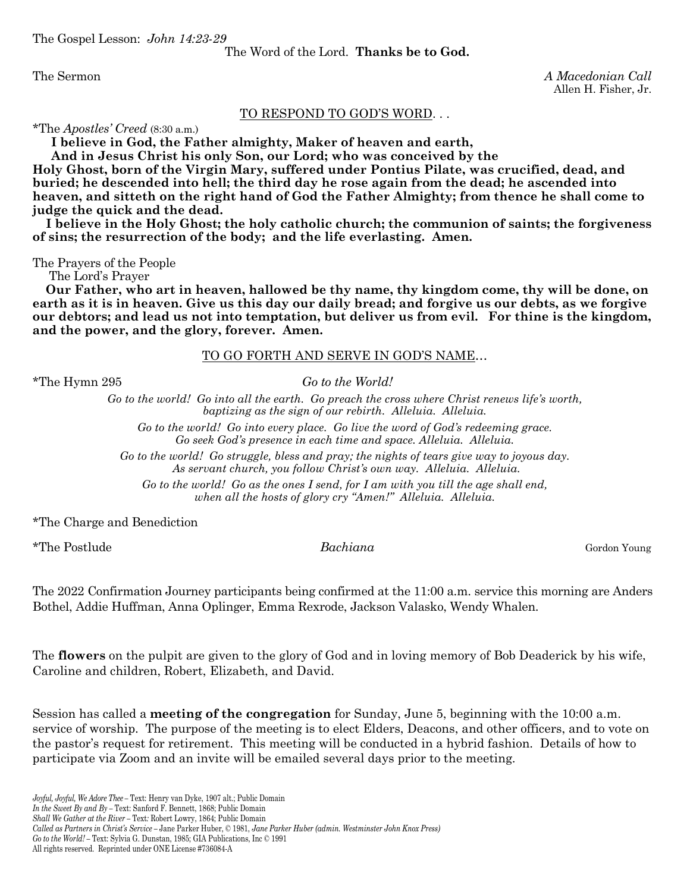The Gospel Lesson: *John 14:23-29* 

The Word of the Lord. **Thanks be to God.** 

The Sermon

The Sermon *A Macedonian Call*  Allen H. Fisher, Jr.

#### TO RESPOND TO GOD'S WORD. . .

\*The *Apostles' Creed* (8:30 a.m.)

 **I believe in God, the Father almighty, Maker of heaven and earth,** 

 **And in Jesus Christ his only Son, our Lord; who was conceived by the** 

**Holy Ghost, born of the Virgin Mary, suffered under Pontius Pilate, was crucified, dead, and buried; he descended into hell; the third day he rose again from the dead; he ascended into heaven, and sitteth on the right hand of God the Father Almighty; from thence he shall come to judge the quick and the dead.** 

 **I believe in the Holy Ghost; the holy catholic church; the communion of saints; the forgiveness of sins; the resurrection of the body; and the life everlasting. Amen.** 

The Prayers of the People

The Lord's Prayer

 **Our Father, who art in heaven, hallowed be thy name, thy kingdom come, thy will be done, on earth as it is in heaven. Give us this day our daily bread; and forgive us our debts, as we forgive our debtors; and lead us not into temptation, but deliver us from evil. For thine is the kingdom, and the power, and the glory, forever. Amen.** 

#### TO GO FORTH AND SERVE IN GOD'S NAME…

\*The Hymn 295 *Go to the World!* 

*Go to the world! Go into all the earth. Go preach the cross where Christ renews life's worth, baptizing as the sign of our rebirth. Alleluia. Alleluia.* 

*Go to the world! Go into every place. Go live the word of God's redeeming grace. Go seek God's presence in each time and space. Alleluia. Alleluia.* 

*Go to the world! Go struggle, bless and pray; the nights of tears give way to joyous day. As servant church, you follow Christ's own way. Alleluia. Alleluia.* 

*Go to the world! Go as the ones I send, for I am with you till the age shall end, when all the hosts of glory cry "Amen!" Alleluia. Alleluia.* 

\*The Charge and Benediction

\*The Postlude *Bachiana* Gordon Young

The 2022 Confirmation Journey participants being confirmed at the 11:00 a.m. service this morning are Anders Bothel, Addie Huffman, Anna Oplinger, Emma Rexrode, Jackson Valasko, Wendy Whalen.

The **flowers** on the pulpit are given to the glory of God and in loving memory of Bob Deaderick by his wife, Caroline and children, Robert, Elizabeth, and David.

Session has called a **meeting of the congregation** for Sunday, June 5, beginning with the 10:00 a.m. service of worship. The purpose of the meeting is to elect Elders, Deacons, and other officers, and to vote on the pastor's request for retirement. This meeting will be conducted in a hybrid fashion. Details of how to participate via Zoom and an invite will be emailed several days prior to the meeting.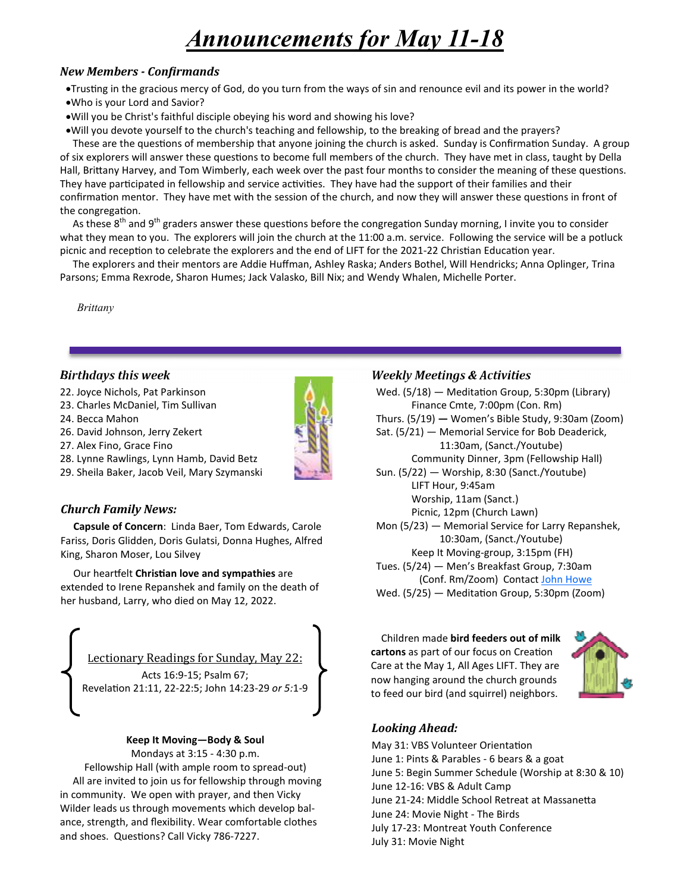# *Announcements for May 11-18*

# *New Members - Conirmands*

- •Trusting in the gracious mercy of God, do you turn from the ways of sin and renounce evil and its power in the world?
- Who is your Lord and Savior?
- Will you be Christ's faithful disciple obeying his word and showing his love?

Will you devote yourself to the church's teaching and fellowship, to the breaking of bread and the prayers?

These are the questions of membership that anyone joining the church is asked. Sunday is Confirmation Sunday. A group of six explorers will answer these questions to become full members of the church. They have met in class, taught by Della Hall, Brittany Harvey, and Tom Wimberly, each week over the past four months to consider the meaning of these questions. They have participated in fellowship and service activities. They have had the support of their families and their confirmation mentor. They have met with the session of the church, and now they will answer these questions in front of the congregation.

As these 8<sup>th</sup> and 9<sup>th</sup> graders answer these questions before the congregation Sunday morning, I invite you to consider what they mean to you. The explorers will join the church at the 11:00 a.m. service. Following the service will be a potluck picnic and reception to celebrate the explorers and the end of LIFT for the 2021-22 Christian Education year.

 The explorers and their mentors are Addie Huffman, Ashley Raska; Anders Bothel, Will Hendricks; Anna Oplinger, Trina Parsons; Emma Rexrode, Sharon Humes; Jack Valasko, Bill Nix; and Wendy Whalen, Michelle Porter.

 *Brittany*

# *Birthdays this week*

- 22. Joyce Nichols, Pat Parkinson
- 23. Charles McDaniel, Tim Sullivan

24. Becca Mahon

- 26. David Johnson, Jerry Zekert
- 27. Alex Fino, Grace Fino



29. Sheila Baker, Jacob Veil, Mary Szymanski

# *Church Family News:*

 **Capsule of Concern**: Linda Baer, Tom Edwards, Carole Fariss, Doris Glidden, Doris Gulatsi, Donna Hughes, Alfred King, Sharon Moser, Lou Silvey

**Our heartfelt Christian love and sympathies are** extended to Irene Repanshek and family on the death of her husband, Larry, who died on May 12, 2022.



#### **Keep It Moving—Body & Soul**

Mondays at 3:15 - 4:30 p.m.

Fellowship Hall (with ample room to spread-out) All are invited to join us for fellowship through moving in community. We open with prayer, and then Vicky Wilder leads us through movements which develop balance, strength, and flexibility. Wear comfortable clothes and shoes. Questions? Call Vicky 786-7227.



Wed.  $(5/18)$  – Meditation Group, 5:30pm (Library) Finance Cmte, 7:00pm (Con. Rm) Thurs. (5/19) **—** Women's Bible Study, 9:30am (Zoom) Sat. (5/21) — Memorial Service for Bob Deaderick, 11:30am, (Sanct./Youtube) Community Dinner, 3pm (Fellowship Hall) Sun. (5/22) — Worship, 8:30 (Sanct./Youtube) LIFT Hour, 9:45am Worship, 11am (Sanct.) Picnic, 12pm (Church Lawn) Mon (5/23) — Memorial Service for Larry Repanshek, 10:30am, (Sanct./Youtube) Keep It Moving-group, 3:15pm (FH) Tues. (5/24) — Men's Breakfast Group, 7:30am (Conf. Rm/Zoom) Contact John Howe Wed. (5/25) — Meditation Group, 5:30pm (Zoom)

 Children made **bird feeders out of milk cartons** as part of our focus on Creation Care at the May 1, All Ages LIFT. They are now hanging around the church grounds to feed our bird (and squirrel) neighbors.



# *Looking Ahead:*

May 31: VBS Volunteer Orientation June 1: Pints & Parables - 6 bears & a goat June 5: Begin Summer Schedule (Worship at 8:30 & 10) June 12-16: VBS & Adult Camp June 21-24: Middle School Retreat at Massanetta June 24: Movie Night - The Birds July 17-23: Montreat Youth Conference July 31: Movie Night

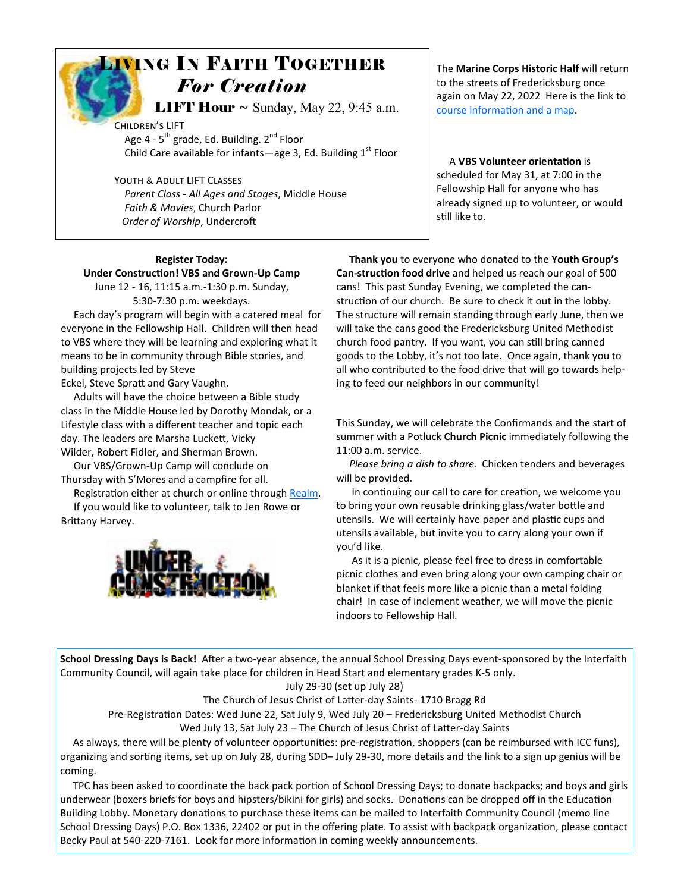# LIVING IN FAITH TOGETHER *For Creation*

**LIFT Hour**  $\sim$  Sunday, May 22, 9:45 a.m.

CHILDREN'S LIFT Age  $4 - 5$ <sup>th</sup> grade, Ed. Building.  $2^{nd}$  Floor Child Care available for infants—age 3, Ed. Building  $1<sup>st</sup>$  Floor

YOUTH & ADULT LIFT CLASSES *Parent Class - All Ages and Stages*, Middle House *Faith & Movies*, Church Parlor **Order of Worship, Undercroft** 

# **Register Today: Under Construction! VBS and Grown-Up Camp**

June 12 - 16, 11:15 a.m.-1:30 p.m. Sunday, 5:30-7:30 p.m. weekdays.

 Each day's program will begin with a catered meal for everyone in the Fellowship Hall. Children will then head to VBS where they will be learning and exploring what it means to be in community through Bible stories, and building projects led by Steve

Eckel, Steve Spratt and Gary Vaughn.

 Adults will have the choice between a Bible study class in the Middle House led by Dorothy Mondak, or a Lifestyle class with a different teacher and topic each day. The leaders are Marsha Luckett, Vicky Wilder, Robert Fidler, and Sherman Brown.

 Our VBS/Grown-Up Camp will conclude on Thursday with S'Mores and a campfire for all.

Registration either at church or online through Realm. If you would like to volunteer, talk to Jen Rowe or

Brittany Harvey.



The **Marine Corps Historic Half** will return to the streets of Fredericksburg once again on May 22, 2022 Here is the link to course information and a map.

A VBS Volunteer orientation is scheduled for May 31, at 7:00 in the Fellowship Hall for anyone who has already signed up to volunteer, or would still like to.

 **Thank you** to everyone who donated to the **Youth Group's**  Can-struction food drive and helped us reach our goal of 500 cans! This past Sunday Evening, we completed the canstruction of our church. Be sure to check it out in the lobby. The structure will remain standing through early June, then we will take the cans good the Fredericksburg United Methodist church food pantry. If you want, you can still bring canned goods to the Lobby, it's not too late. Once again, thank you to all who contributed to the food drive that will go towards helping to feed our neighbors in our community!

This Sunday, we will celebrate the Confirmands and the start of summer with a Potluck **Church Picnic** immediately following the 11:00 a.m. service.

 *Please bring a dish to share.* Chicken tenders and beverages will be provided.

In continuing our call to care for creation, we welcome you to bring your own reusable drinking glass/water bottle and utensils. We will certainly have paper and plastic cups and utensils available, but invite you to carry along your own if you'd like.

 As it is a picnic, please feel free to dress in comfortable picnic clothes and even bring along your own camping chair or blanket if that feels more like a picnic than a metal folding chair! In case of inclement weather, we will move the picnic indoors to Fellowship Hall.

**School Dressing Days is Back!** After a two-year absence, the annual School Dressing Days event-sponsored by the Interfaith Community Council, will again take place for children in Head Start and elementary grades K-5 only.

July 29-30 (set up July 28)

The Church of Jesus Christ of Latter-day Saints- 1710 Bragg Rd

Pre-Registration Dates: Wed June 22, Sat July 9, Wed July 20 - Fredericksburg United Methodist Church

Wed July 13, Sat July 23 – The Church of Jesus Christ of Latter-day Saints

As always, there will be plenty of volunteer opportunities: pre-registration, shoppers (can be reimbursed with ICC funs), organizing and sorting items, set up on July 28, during SDD– July 29-30, more details and the link to a sign up genius will be coming.

TPC has been asked to coordinate the back pack portion of School Dressing Days; to donate backpacks; and boys and girls underwear (boxers briefs for boys and hipsters/bikini for girls) and socks. Donations can be dropped off in the Education Building Lobby. Monetary donations to purchase these items can be mailed to Interfaith Community Council (memo line School Dressing Days) P.O. Box 1336, 22402 or put in the offering plate. To assist with backpack organization, please contact Becky Paul at 540-220-7161. Look for more information in coming weekly announcements.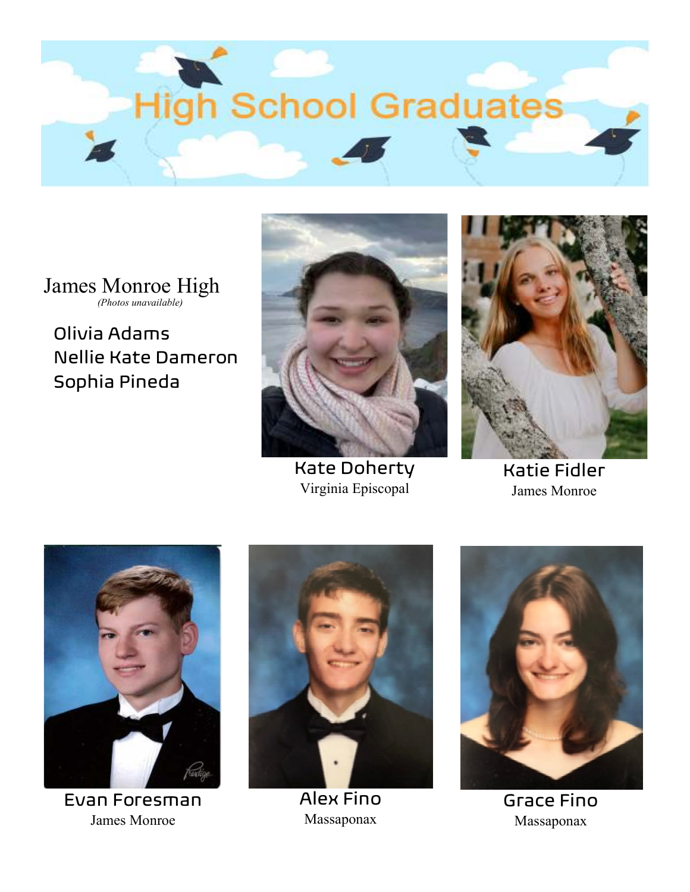

James Monroe High

Olivia Adams Nellie Kate Dameron Sophia Pineda



Kate Doherty Virginia Episcopal



Katie Fidler James Monroe



Evan Foresman James Monroe



Alex Fino Massaponax



Grace Fino Massaponax